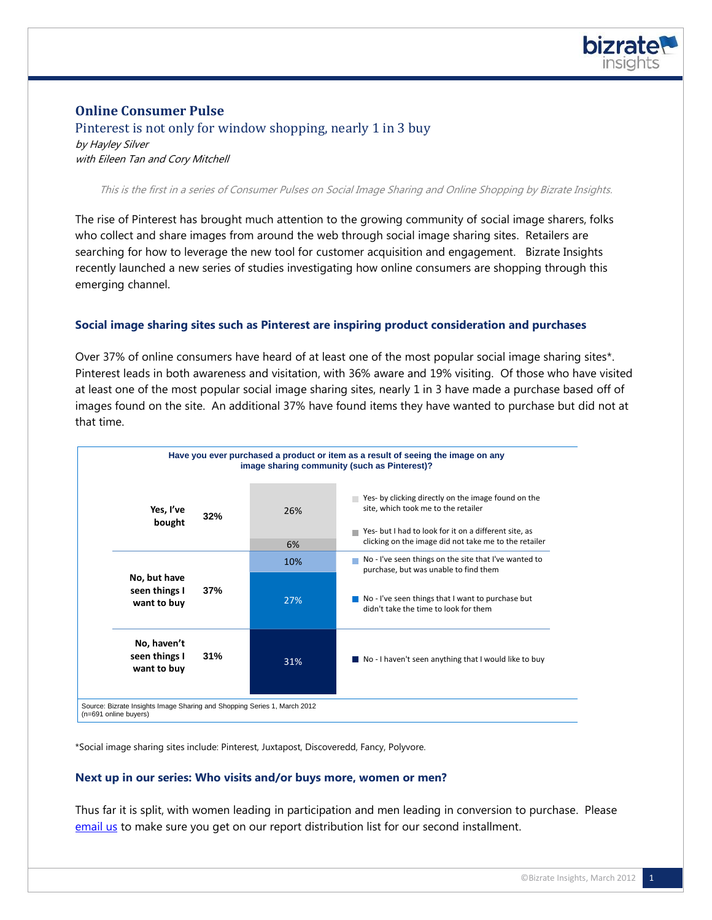

# **Online Consumer Pulse**

## Pinterest is not only for window shopping, nearly 1 in 3 buy

by Hayley Silver with Eileen Tan and Cory Mitchell

This is the first in a series of Consumer Pulses on Social Image Sharing and Online Shopping by Bizrate Insights.

The rise of Pinterest has brought much attention to the growing community of social image sharers, folks who collect and share images from around the web through social image sharing sites. Retailers are searching for how to leverage the new tool for customer acquisition and engagement. Bizrate Insights recently launched a new series of studies investigating how online consumers are shopping through this emerging channel.

### **Social image sharing sites such as Pinterest are inspiring product consideration and purchases**

Over 37% of online consumers have heard of at least one of the most popular social image sharing sites\*. Pinterest leads in both awareness and visitation, with 36% aware and 19% visiting. Of those who have visited at least one of the most popular social image sharing sites, nearly 1 in 3 have made a purchase based off of images found on the site. An additional 37% have found items they have wanted to purchase but did not at that time.



\*Social image sharing sites include: Pinterest, Juxtapost, Discoveredd, Fancy, Polyvore.

#### **Next up in our series: Who visits and/or buys more, women or men?**

Thus far it is split, with women leading in participation and men leading in conversion to purchase. Please [email us](mailto:bizrateinsights@bizrate.com?subject=Visual%20Shopping%20Report%20email%20distribution%20list%20request) to make sure you get on our report distribution list for our second installment.